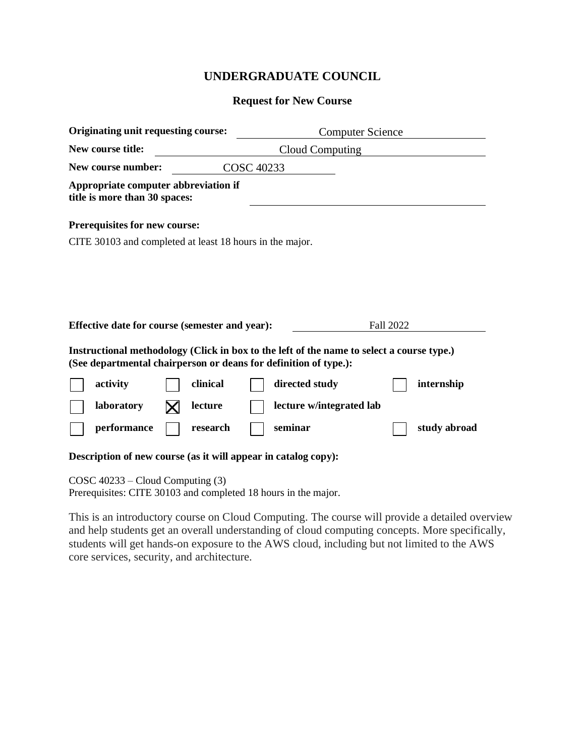## **UNDERGRADUATE COUNCIL**

## **Request for New Course**

| Originating unit requesting course:                                                                                                                           |          | <b>Computer Science</b> |                          |           |              |
|---------------------------------------------------------------------------------------------------------------------------------------------------------------|----------|-------------------------|--------------------------|-----------|--------------|
| New course title:                                                                                                                                             |          |                         | Cloud Computing          |           |              |
| New course number:                                                                                                                                            |          | <b>COSC 40233</b>       |                          |           |              |
| Appropriate computer abbreviation if<br>title is more than 30 spaces:                                                                                         |          |                         |                          |           |              |
| Prerequisites for new course:                                                                                                                                 |          |                         |                          |           |              |
| CITE 30103 and completed at least 18 hours in the major.                                                                                                      |          |                         |                          |           |              |
|                                                                                                                                                               |          |                         |                          |           |              |
|                                                                                                                                                               |          |                         |                          |           |              |
|                                                                                                                                                               |          |                         |                          |           |              |
| Effective date for course (semester and year):                                                                                                                |          |                         |                          | Fall 2022 |              |
| Instructional methodology (Click in box to the left of the name to select a course type.)<br>(See departmental chairperson or deans for definition of type.): |          |                         |                          |           |              |
| activity                                                                                                                                                      | clinical |                         | directed study           |           | internship   |
| laboratory                                                                                                                                                    | lecture  |                         | lecture w/integrated lab |           |              |
| performance                                                                                                                                                   | research |                         | seminar                  |           | study abroad |
| Description of new course (as it will appear in catalog copy):                                                                                                |          |                         |                          |           |              |
| $COSC$ 40233 – Cloud Computing (3)                                                                                                                            |          |                         |                          |           |              |

Prerequisites: CITE 30103 and completed 18 hours in the major.

This is an introductory course on Cloud Computing. The course will provide a detailed overview and help students get an overall understanding of cloud computing concepts. More specifically, students will get hands-on exposure to the AWS cloud, including but not limited to the AWS core services, security, and architecture.